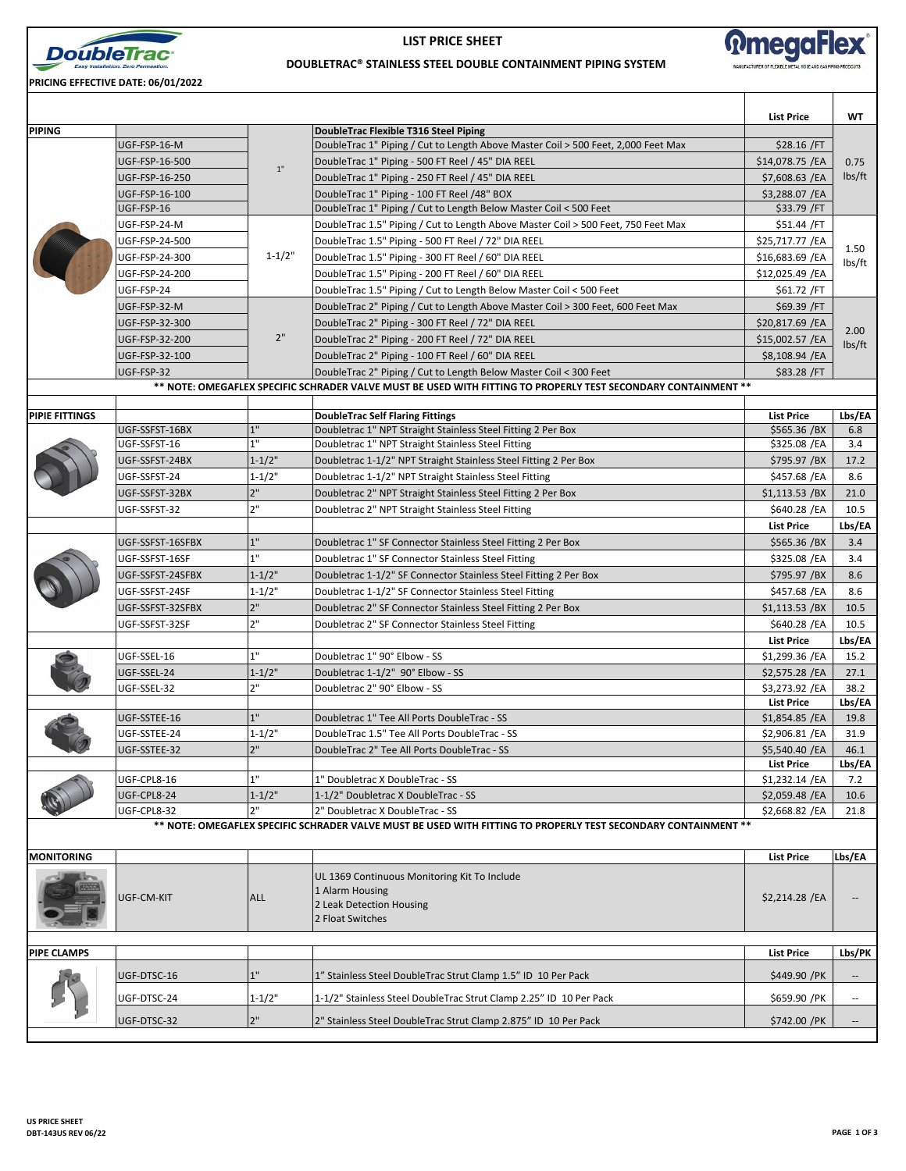

**LIST PRICE SHEET**



## **DOUBLETRAC® STAINLESS STEEL DOUBLE CONTAINMENT PIPING SYSTEM**

**PRICING EFFECTIVE DATE: 06/01/2022**

|                       |                                |                  |                                                                                                                                                   | <b>List Price</b>              | WT                       |
|-----------------------|--------------------------------|------------------|---------------------------------------------------------------------------------------------------------------------------------------------------|--------------------------------|--------------------------|
| <b>PIPING</b>         |                                |                  | DoubleTrac Flexible T316 Steel Piping                                                                                                             |                                |                          |
|                       | UGF-FSP-16-M                   |                  | DoubleTrac 1" Piping / Cut to Length Above Master Coil > 500 Feet, 2,000 Feet Max                                                                 | \$28.16 / FT                   |                          |
|                       | UGF-FSP-16-500                 | 1"               | DoubleTrac 1" Piping - 500 FT Reel / 45" DIA REEL                                                                                                 | \$14,078.75 / EA               | 0.75<br>lbs/ft           |
|                       | UGF-FSP-16-250                 |                  | DoubleTrac 1" Piping - 250 FT Reel / 45" DIA REEL                                                                                                 | \$7,608.63 /EA                 |                          |
|                       | UGF-FSP-16-100<br>UGF-FSP-16   |                  | DoubleTrac 1" Piping - 100 FT Reel /48" BOX<br>DoubleTrac 1" Piping / Cut to Length Below Master Coil < 500 Feet                                  | \$3,288.07 /EA<br>\$33.79 / FT |                          |
|                       | UGF-FSP-24-M                   |                  | DoubleTrac 1.5" Piping / Cut to Length Above Master Coil > 500 Feet, 750 Feet Max                                                                 | \$51.44 /FT                    |                          |
|                       | UGF-FSP-24-500                 |                  | DoubleTrac 1.5" Piping - 500 FT Reel / 72" DIA REEL                                                                                               | \$25,717.77 /EA                |                          |
|                       | UGF-FSP-24-300                 | $1 - 1/2"$       | DoubleTrac 1.5" Piping - 300 FT Reel / 60" DIA REEL                                                                                               | \$16,683.69 / EA               | 1.50                     |
|                       | UGF-FSP-24-200                 |                  | DoubleTrac 1.5" Piping - 200 FT Reel / 60" DIA REEL                                                                                               | \$12,025.49 /EA                | lbs/ft                   |
|                       | UGF-FSP-24                     |                  | DoubleTrac 1.5" Piping / Cut to Length Below Master Coil < 500 Feet                                                                               | \$61.72 / FT                   |                          |
|                       | UGF-FSP-32-M                   |                  | DoubleTrac 2" Piping / Cut to Length Above Master Coil > 300 Feet, 600 Feet Max                                                                   | \$69.39 / FT                   |                          |
|                       | UGF-FSP-32-300                 |                  | DoubleTrac 2" Piping - 300 FT Reel / 72" DIA REEL                                                                                                 | \$20,817.69 /EA                | 2.00<br>lbs/ft           |
|                       | UGF-FSP-32-200                 | 2"               | DoubleTrac 2" Piping - 200 FT Reel / 72" DIA REEL                                                                                                 | $$15,002.57$ /EA               |                          |
|                       | UGF-FSP-32-100                 |                  | DoubleTrac 2" Piping - 100 FT Reel / 60" DIA REEL                                                                                                 | \$8,108.94 / EA                |                          |
|                       | UGF-FSP-32                     |                  | DoubleTrac 2" Piping / Cut to Length Below Master Coil < 300 Feet                                                                                 | \$83.28 / FT                   |                          |
|                       |                                |                  | ** NOTE: OMEGAFLEX SPECIFIC SCHRADER VALVE MUST BE USED WITH FITTING TO PROPERLY TEST SECONDARY CONTAINMENT **                                    |                                |                          |
|                       |                                |                  |                                                                                                                                                   |                                |                          |
| <b>PIPIE FITTINGS</b> |                                | 1"               | <b>DoubleTrac Self Flaring Fittings</b>                                                                                                           | <b>List Price</b>              | Lbs/EA                   |
|                       | UGF-SSFST-16BX<br>UGF-SSFST-16 | 1"               | Doubletrac 1" NPT Straight Stainless Steel Fitting 2 Per Box<br>Doubletrac 1" NPT Straight Stainless Steel Fitting                                | \$565.36 /BX<br>\$325.08 /EA   | 6.8<br>3.4               |
|                       | UGF-SSFST-24BX                 | $1 - 1/2"$       | Doubletrac 1-1/2" NPT Straight Stainless Steel Fitting 2 Per Box                                                                                  | \$795.97 /BX                   | 17.2                     |
|                       | UGF-SSFST-24                   | $1 - 1/2"$       | Doubletrac 1-1/2" NPT Straight Stainless Steel Fitting                                                                                            | \$457.68 / EA                  | 8.6                      |
|                       | UGF-SSFST-32BX                 | 2"               | Doubletrac 2" NPT Straight Stainless Steel Fitting 2 Per Box                                                                                      | $$1,113.53$ /BX                | 21.0                     |
|                       | UGF-SSFST-32                   | 2"               | Doubletrac 2" NPT Straight Stainless Steel Fitting                                                                                                | \$640.28 /EA                   | 10.5                     |
|                       |                                |                  |                                                                                                                                                   | <b>List Price</b>              | Lbs/EA                   |
|                       | UGF-SSFST-16SFBX               | 1"               | Doubletrac 1" SF Connector Stainless Steel Fitting 2 Per Box                                                                                      | \$565.36 /BX                   | 3.4                      |
|                       | UGF-SSFST-16SF                 | 1"               | Doubletrac 1" SF Connector Stainless Steel Fitting                                                                                                | \$325.08 /EA                   | 3.4                      |
|                       | UGF-SSFST-24SFBX               | $1 - 1/2"$       | Doubletrac 1-1/2" SF Connector Stainless Steel Fitting 2 Per Box                                                                                  | \$795.97 /BX                   | 8.6                      |
|                       | UGF-SSFST-24SF                 | $1 - 1/2"$       | Doubletrac 1-1/2" SF Connector Stainless Steel Fitting                                                                                            | \$457.68 /EA                   | 8.6                      |
|                       | UGF-SSFST-32SFBX               | 2"               | Doubletrac 2" SF Connector Stainless Steel Fitting 2 Per Box                                                                                      | $$1,113.53$ /BX                | 10.5                     |
|                       | UGF-SSFST-32SF                 | 2"               | Doubletrac 2" SF Connector Stainless Steel Fitting                                                                                                | \$640.28 /EA                   | 10.5                     |
|                       |                                |                  |                                                                                                                                                   | <b>List Price</b>              | Lbs/EA                   |
|                       | UGF-SSEL-16                    | 1"               | Doubletrac 1" 90° Elbow - SS                                                                                                                      | \$1,299.36 /EA                 | 15.2                     |
|                       | UGF-SSEL-24                    | $1 - 1/2$ "      | Doubletrac 1-1/2" 90° Elbow - SS                                                                                                                  | \$2,575.28 /EA                 | 27.1                     |
|                       | UGF-SSEL-32                    | 2"               | Doubletrac 2" 90° Elbow - SS                                                                                                                      | \$3,273.92 /EA                 | 38.2                     |
|                       |                                |                  |                                                                                                                                                   | <b>List Price</b>              | Lbs/EA                   |
|                       | UGF-SSTEE-16                   | 1"               | Doubletrac 1" Tee All Ports DoubleTrac - SS                                                                                                       | $$1,854.85$ /EA                | 19.8                     |
|                       | UGF-SSTEE-24                   | $1 - 1/2"$       | DoubleTrac 1.5" Tee All Ports DoubleTrac - SS                                                                                                     | \$2,906.81 /EA                 | 31.9                     |
|                       | UGF-SSTEE-32                   | 2"               | DoubleTrac 2" Tee All Ports DoubleTrac - SS                                                                                                       | \$5,540.40 /EA                 | 46.1                     |
|                       |                                |                  |                                                                                                                                                   | List Price                     | Lbs/EA                   |
|                       | UGF-CPL8-16                    | 1"               | 1" Doubletrac X DoubleTrac - SS                                                                                                                   | \$1,232.14 /EA                 | 7.2                      |
|                       | UGF-CPL8-24                    | $1 - 1/2"$<br>2" | 1-1/2" Doubletrac X DoubleTrac - SS                                                                                                               | \$2,059.48 /EA                 | 10.6                     |
|                       | UGF-CPL8-32                    |                  | 2" Doubletrac X DoubleTrac - SS<br>** NOTE: OMEGAFLEX SPECIFIC SCHRADER VALVE MUST BE USED WITH FITTING TO PROPERLY TEST SECONDARY CONTAINMENT ** | \$2,668.82 / EA                | 21.8                     |
|                       |                                |                  |                                                                                                                                                   |                                |                          |
| <b>MONITORING</b>     |                                |                  |                                                                                                                                                   | <b>List Price</b>              | Lbs/EA                   |
|                       | UGF-CM-KIT                     | <b>ALL</b>       | UL 1369 Continuous Monitoring Kit To Include<br>1 Alarm Housing<br>2 Leak Detection Housing<br>2 Float Switches                                   | \$2,214.28 / EA                |                          |
| <b>PIPE CLAMPS</b>    |                                |                  |                                                                                                                                                   | <b>List Price</b>              | Lbs/PK                   |
|                       | UGF-DTSC-16                    | 1"               | 1" Stainless Steel DoubleTrac Strut Clamp 1.5" ID 10 Per Pack                                                                                     | \$449.90 / PK                  | --                       |
|                       |                                |                  |                                                                                                                                                   |                                |                          |
|                       | UGF-DTSC-24                    | $1 - 1/2"$       | 1-1/2" Stainless Steel DoubleTrac Strut Clamp 2.25" ID 10 Per Pack                                                                                | \$659.90 /PK                   | $\overline{\phantom{a}}$ |
|                       | UGF-DTSC-32                    | 2"               | 2" Stainless Steel DoubleTrac Strut Clamp 2.875" ID 10 Per Pack                                                                                   | \$742.00 / PK                  | $\overline{\phantom{a}}$ |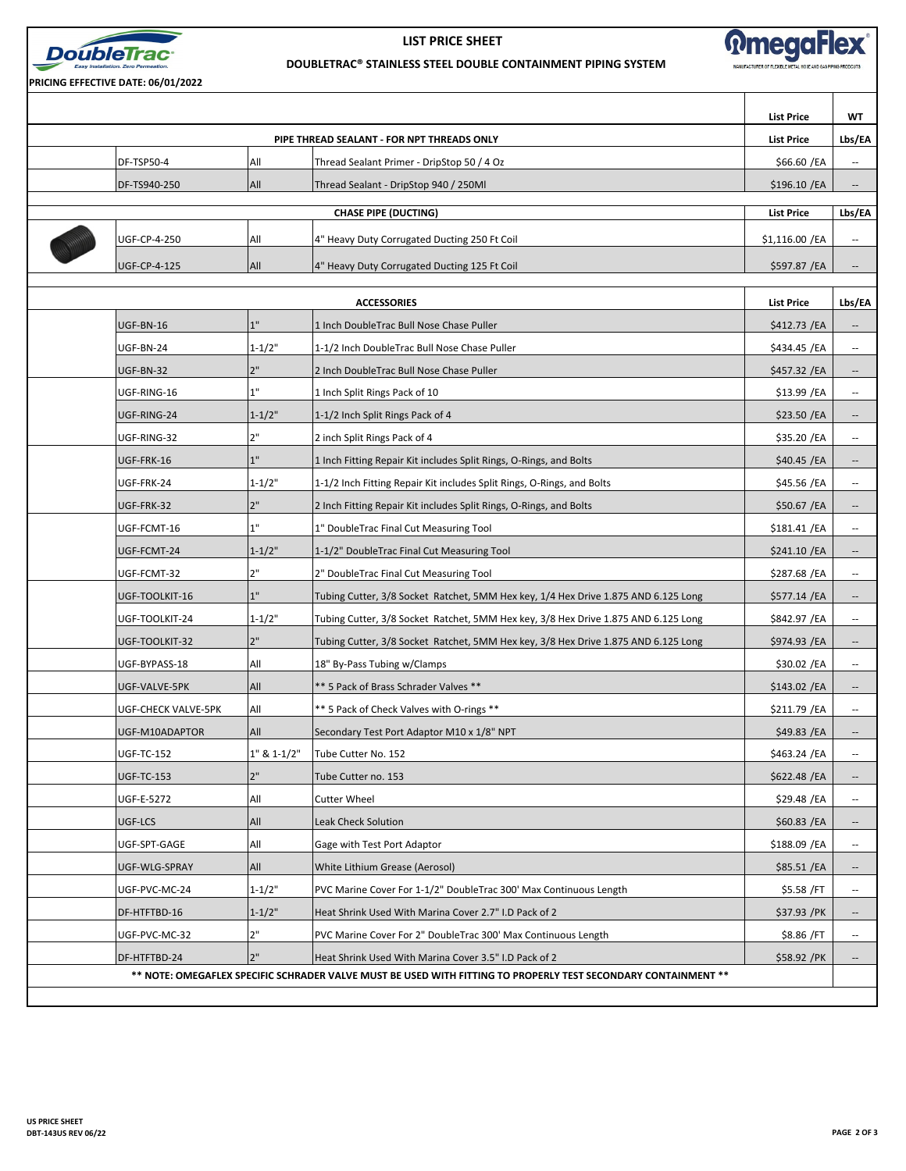

**PRICING EFFECTIVE DATE: 06/01/2022**

**LIST PRICE SHEET**



Τ

**DOUBLETRAC® STAINLESS STEEL DOUBLE CONTAINMENT PIPING SYSTEM**

|                                                                                                                |                     |             |                                                                                    | <b>List Price</b> | WT                       |  |
|----------------------------------------------------------------------------------------------------------------|---------------------|-------------|------------------------------------------------------------------------------------|-------------------|--------------------------|--|
|                                                                                                                |                     |             | PIPE THREAD SEALANT - FOR NPT THREADS ONLY                                         | <b>List Price</b> | Lbs/EA                   |  |
|                                                                                                                | DF-TSP50-4          | All         | Thread Sealant Primer - DripStop 50 / 4 Oz                                         | \$66.60 / EA      | $\overline{\phantom{a}}$ |  |
|                                                                                                                | DF-TS940-250        | All         | Thread Sealant - DripStop 940 / 250Ml                                              | \$196.10 / EA     | $\overline{\phantom{a}}$ |  |
| <b>CHASE PIPE (DUCTING)</b><br><b>List Price</b>                                                               |                     |             |                                                                                    |                   |                          |  |
|                                                                                                                | <b>UGF-CP-4-250</b> | All         | 4" Heavy Duty Corrugated Ducting 250 Ft Coil                                       | \$1,116.00 /EA    | $\overline{\phantom{a}}$ |  |
|                                                                                                                | <b>UGF-CP-4-125</b> | All         |                                                                                    |                   |                          |  |
|                                                                                                                |                     |             | 4" Heavy Duty Corrugated Ducting 125 Ft Coil                                       | \$597.87 / EA     | $\overline{\phantom{a}}$ |  |
| <b>ACCESSORIES</b><br><b>List Price</b>                                                                        |                     |             |                                                                                    |                   |                          |  |
|                                                                                                                | UGF-BN-16           | 1"          | 1 Inch DoubleTrac Bull Nose Chase Puller                                           | \$412.73 /EA      | $\overline{\phantom{a}}$ |  |
|                                                                                                                | UGF-BN-24           | $1 - 1/2"$  | 1-1/2 Inch DoubleTrac Bull Nose Chase Puller                                       | \$434.45 /EA      | $\overline{\phantom{a}}$ |  |
|                                                                                                                | UGF-BN-32           | 2"          | 2 Inch DoubleTrac Bull Nose Chase Puller                                           | \$457.32 / EA     | $\overline{\phantom{a}}$ |  |
|                                                                                                                | UGF-RING-16         | 1"          | 1 Inch Split Rings Pack of 10                                                      | \$13.99 / EA      | $\overline{\phantom{a}}$ |  |
|                                                                                                                | UGF-RING-24         | $1 - 1/2"$  | 1-1/2 Inch Split Rings Pack of 4                                                   | \$23.50 /EA       | $\overline{\phantom{a}}$ |  |
|                                                                                                                | UGF-RING-32         | 2"          | 2 inch Split Rings Pack of 4                                                       | \$35.20 / EA      | $\overline{\phantom{a}}$ |  |
|                                                                                                                | UGF-FRK-16          | 1"          | 1 Inch Fitting Repair Kit includes Split Rings, O-Rings, and Bolts                 | \$40.45 /EA       | $\overline{\phantom{a}}$ |  |
|                                                                                                                | UGF-FRK-24          | $1 - 1/2"$  | 1-1/2 Inch Fitting Repair Kit includes Split Rings, O-Rings, and Bolts             | \$45.56 /EA       | $\overline{\phantom{a}}$ |  |
|                                                                                                                | UGF-FRK-32          | 2"          | 2 Inch Fitting Repair Kit includes Split Rings, O-Rings, and Bolts                 | \$50.67 /EA       | $\overline{\phantom{a}}$ |  |
|                                                                                                                | UGF-FCMT-16         | 1"          | 1" DoubleTrac Final Cut Measuring Tool                                             | \$181.41 /EA      | $\overline{\phantom{a}}$ |  |
|                                                                                                                | UGF-FCMT-24         | $1 - 1/2"$  | 1-1/2" DoubleTrac Final Cut Measuring Tool                                         | \$241.10 / EA     | $\overline{\phantom{a}}$ |  |
|                                                                                                                | UGF-FCMT-32         | 2"          | 2" DoubleTrac Final Cut Measuring Tool                                             | \$287.68 / EA     | $\overline{\phantom{a}}$ |  |
|                                                                                                                | UGF-TOOLKIT-16      | 1"          | Tubing Cutter, 3/8 Socket Ratchet, 5MM Hex key, 1/4 Hex Drive 1.875 AND 6.125 Long | \$577.14 /EA      | $\overline{\phantom{a}}$ |  |
|                                                                                                                | UGF-TOOLKIT-24      | $1 - 1/2"$  | Tubing Cutter, 3/8 Socket Ratchet, 5MM Hex key, 3/8 Hex Drive 1.875 AND 6.125 Long | \$842.97 / EA     | $\overline{\phantom{a}}$ |  |
|                                                                                                                | UGF-TOOLKIT-32      | 2"          | Tubing Cutter, 3/8 Socket Ratchet, 5MM Hex key, 3/8 Hex Drive 1.875 AND 6.125 Long | \$974.93 /EA      | $\overline{\phantom{a}}$ |  |
|                                                                                                                | UGF-BYPASS-18       | All         | 18" By-Pass Tubing w/Clamps                                                        | \$30.02 /EA       | $\overline{\phantom{a}}$ |  |
|                                                                                                                | UGF-VALVE-5PK       | All         | ** 5 Pack of Brass Schrader Valves **                                              | \$143.02 / EA     | --                       |  |
|                                                                                                                | UGF-CHECK VALVE-5PK | All         | ** 5 Pack of Check Valves with O-rings **                                          | \$211.79 /EA      | $\overline{\phantom{a}}$ |  |
|                                                                                                                | UGF-M10ADAPTOR      | All         | Secondary Test Port Adaptor M10 x 1/8" NPT                                         | \$49.83 / EA      | $\overline{\phantom{a}}$ |  |
|                                                                                                                | <b>UGF-TC-152</b>   | 1" & 1-1/2" | Tube Cutter No. 152                                                                | \$463.24 /EA      | $\overline{\phantom{a}}$ |  |
|                                                                                                                | <b>UGF-TC-153</b>   | 2"          | Tube Cutter no. 153                                                                | \$622.48 /EA      | $\overline{\phantom{a}}$ |  |
|                                                                                                                | UGF-E-5272          | All         | Cutter Wheel                                                                       | \$29.48 / EA      | $\overline{\phantom{a}}$ |  |
|                                                                                                                | UGF-LCS             | All         | <b>Leak Check Solution</b>                                                         | \$60.83 / EA      |                          |  |
|                                                                                                                | UGF-SPT-GAGE        | All         | Gage with Test Port Adaptor                                                        | \$188.09 / EA     | $\overline{\phantom{a}}$ |  |
|                                                                                                                | UGF-WLG-SPRAY       | All         | White Lithium Grease (Aerosol)                                                     | \$85.51 / EA      |                          |  |
|                                                                                                                | UGF-PVC-MC-24       | $1 - 1/2"$  | PVC Marine Cover For 1-1/2" DoubleTrac 300' Max Continuous Length                  | \$5.58 /FT        | $\overline{\phantom{a}}$ |  |
|                                                                                                                | DF-HTFTBD-16        | $1 - 1/2"$  | Heat Shrink Used With Marina Cover 2.7" I.D Pack of 2                              | \$37.93 /PK       | $\overline{\phantom{a}}$ |  |
|                                                                                                                | UGF-PVC-MC-32       | 2"          | PVC Marine Cover For 2" DoubleTrac 300' Max Continuous Length                      | \$8.86 / FT       | $\overline{\phantom{a}}$ |  |
|                                                                                                                | DF-HTFTBD-24        | 2"          | Heat Shrink Used With Marina Cover 3.5" I.D Pack of 2                              | \$58.92 / PK      | $\overline{\phantom{a}}$ |  |
| ** NOTE: OMEGAFLEX SPECIFIC SCHRADER VALVE MUST BE USED WITH FITTING TO PROPERLY TEST SECONDARY CONTAINMENT ** |                     |             |                                                                                    |                   |                          |  |
|                                                                                                                |                     |             |                                                                                    |                   |                          |  |